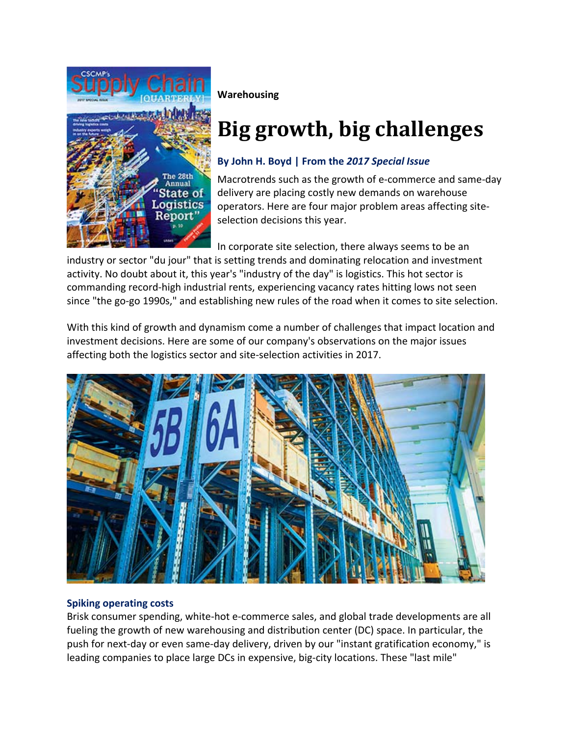

**Warehousing**

# **Big growth, big challenges**

## **By John H. Boyd | From the** *2017 Special Issue*

Macrotrends such as the growth of e‐commerce and same‐day delivery are placing costly new demands on warehouse operators. Here are four major problem areas affecting site‐ selection decisions this year.

In corporate site selection, there always seems to be an

industry or sector "du jour" that is setting trends and dominating relocation and investment activity. No doubt about it, this year's "industry of the day" is logistics. This hot sector is commanding record‐high industrial rents, experiencing vacancy rates hitting lows not seen since "the go-go 1990s," and establishing new rules of the road when it comes to site selection.

With this kind of growth and dynamism come a number of challenges that impact location and investment decisions. Here are some of our company's observations on the major issues affecting both the logistics sector and site‐selection activities in 2017.



### **Spiking operating costs**

Brisk consumer spending, white‐hot e‐commerce sales, and global trade developments are all fueling the growth of new warehousing and distribution center (DC) space. In particular, the push for next‐day or even same‐day delivery, driven by our "instant gratification economy," is leading companies to place large DCs in expensive, big-city locations. These "last mile"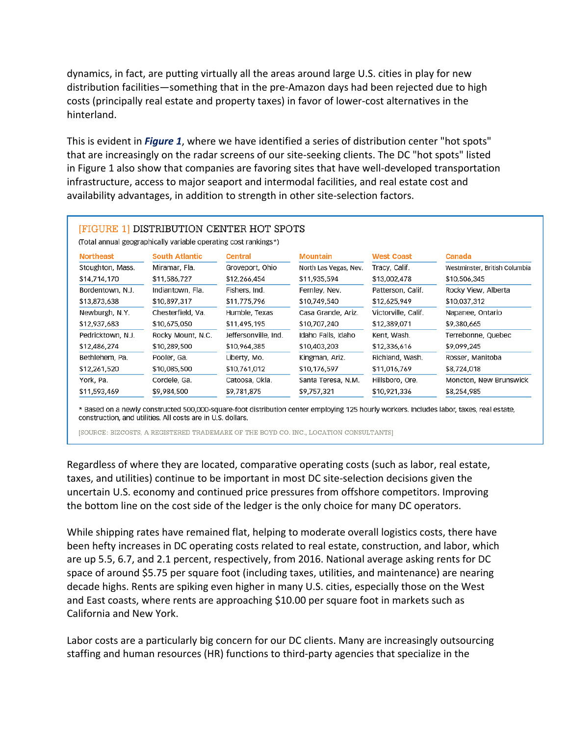dynamics, in fact, are putting virtually all the areas around large U.S. cities in play for new distribution facilities—something that in the pre‐Amazon days had been rejected due to high costs (principally real estate and property taxes) in favor of lower‐cost alternatives in the hinterland.

This is evident in *Figure 1*, where we have identified a series of distribution center "hot spots" that are increasingly on the radar screens of our site‐seeking clients. The DC "hot spots" listed in Figure 1 also show that companies are favoring sites that have well-developed transportation infrastructure, access to major seaport and intermodal facilities, and real estate cost and availability advantages, in addition to strength in other site‐selection factors.

| <b>Northeast</b>  | <b>South Atlantic</b> | <b>Central</b>       | <b>Mountain</b>       | <b>West Coast</b>   | Canada                        |
|-------------------|-----------------------|----------------------|-----------------------|---------------------|-------------------------------|
| Stoughton, Mass.  | Miramar, Fla.         | Groveport, Ohio      | North Las Vegas, Nev. | Tracy, Calif.       | Westminster, British Columbia |
| \$14,714,170      | \$11,586,727          | \$12,266,454         | \$11,935,594          | \$13,002,478        | \$10,506,345                  |
| Bordentown, N.J.  | Indiantown, Fla.      | Fishers, Ind.        | Fernley, Nev.         | Patterson, Calif.   | Rocky View, Alberta           |
| \$13,873,638      | \$10,897,317          | \$11,775,796         | \$10,749,540          | \$12,625,949        | \$10,037,312                  |
| Newburgh, N.Y.    | Chesterfield, Va.     | Humble, Texas        | Casa Grande, Ariz.    | Victorville, Calif. | Napanee, Ontario              |
| \$12,937,683      | \$10,675,050          | \$11,495,195         | \$10,707,240          | \$12,389,071        | \$9,380,665                   |
| Pedricktown, N.J. | Rocky Mount, N.C.     | Jeffersonville, Ind. | Idaho Falls, Idaho    | Kent, Wash.         | Terrebonne, Quebec            |
| \$12,486,274      | \$10,289,500          | \$10,964,385         | \$10,403,203          | \$12,336,616        | \$9,099,245                   |
| Bethlehem, Pa.    | Pooler, Ga.           | Liberty, Mo.         | Kingman, Ariz.        | Richland, Wash.     | Rosser, Manitoba              |
| \$12,261,520      | \$10,085,500          | \$10,761,012         | \$10,176,597          | \$11,016,769        | \$8,724,018                   |
| York, Pa.         | Cordele, Ga.          | Catoosa, Okla.       | Santa Teresa, N.M.    | Hillsboro, Ore.     | Moncton, New Brunswick        |
| \$11,593,469      | \$9,984,500           | \$9,781,875          | \$9,757,321           | \$10,921,336        | \$8,254,985                   |

\* Based on a newly constructed 500,000-square-foot distribution center employing 125 hourly workers. Includes labor, taxes, real estate, construction, and utilities. All costs are in U.S. dollars.

[SOURCE: BIZCOSTS, A REGISTERED TRADEMARK OF THE BOYD CO. INC., LOCATION CONSULTANTS]

Regardless of where they are located, comparative operating costs (such as labor, real estate, taxes, and utilities) continue to be important in most DC site‐selection decisions given the uncertain U.S. economy and continued price pressures from offshore competitors. Improving the bottom line on the cost side of the ledger is the only choice for many DC operators.

While shipping rates have remained flat, helping to moderate overall logistics costs, there have been hefty increases in DC operating costs related to real estate, construction, and labor, which are up 5.5, 6.7, and 2.1 percent, respectively, from 2016. National average asking rents for DC space of around \$5.75 per square foot (including taxes, utilities, and maintenance) are nearing decade highs. Rents are spiking even higher in many U.S. cities, especially those on the West and East coasts, where rents are approaching \$10.00 per square foot in markets such as California and New York.

Labor costs are a particularly big concern for our DC clients. Many are increasingly outsourcing staffing and human resources (HR) functions to third‐party agencies that specialize in the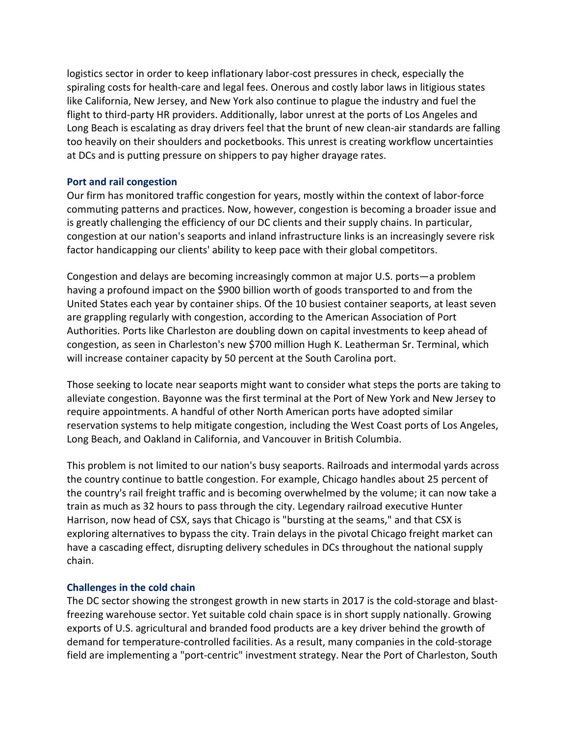logistics sector in order to keep inflationary labor‐cost pressures in check, especially the spiraling costs for health‐care and legal fees. Onerous and costly labor laws in litigious states like California, New Jersey, and New York also continue to plague the industry and fuel the flight to third‐party HR providers. Additionally, labor unrest at the ports of Los Angeles and Long Beach is escalating as dray drivers feel that the brunt of new clean-air standards are falling too heavily on their shoulders and pocketbooks. This unrest is creating workflow uncertainties at DCs and is putting pressure on shippers to pay higher drayage rates.

#### **Port and rail congestion**

Our firm has monitored traffic congestion for years, mostly within the context of labor‐force commuting patterns and practices. Now, however, congestion is becoming a broader issue and is greatly challenging the efficiency of our DC clients and their supply chains. In particular, congestion at our nation's seaports and inland infrastructure links is an increasingly severe risk factor handicapping our clients' ability to keep pace with their global competitors.

Congestion and delays are becoming increasingly common at major U.S. ports—a problem having a profound impact on the \$900 billion worth of goods transported to and from the United States each year by container ships. Of the 10 busiest container seaports, at least seven are grappling regularly with congestion, according to the American Association of Port Authorities. Ports like Charleston are doubling down on capital investments to keep ahead of congestion, as seen in Charleston's new \$700 million Hugh K. Leatherman Sr. Terminal, which will increase container capacity by 50 percent at the South Carolina port.

Those seeking to locate near seaports might want to consider what steps the ports are taking to alleviate congestion. Bayonne was the first terminal at the Port of New York and New Jersey to require appointments. A handful of other North American ports have adopted similar reservation systems to help mitigate congestion, including the West Coast ports of Los Angeles, Long Beach, and Oakland in California, and Vancouver in British Columbia.

This problem is not limited to our nation's busy seaports. Railroads and intermodal yards across the country continue to battle congestion. For example, Chicago handles about 25 percent of the country's rail freight traffic and is becoming overwhelmed by the volume; it can now take a train as much as 32 hours to pass through the city. Legendary railroad executive Hunter Harrison, now head of CSX, says that Chicago is "bursting at the seams," and that CSX is exploring alternatives to bypass the city. Train delays in the pivotal Chicago freight market can have a cascading effect, disrupting delivery schedules in DCs throughout the national supply chain.

#### **Challenges in the cold chain**

The DC sector showing the strongest growth in new starts in 2017 is the cold‐storage and blast‐ freezing warehouse sector. Yet suitable cold chain space is in short supply nationally. Growing exports of U.S. agricultural and branded food products are a key driver behind the growth of demand for temperature‐controlled facilities. As a result, many companies in the cold‐storage field are implementing a "port-centric" investment strategy. Near the Port of Charleston, South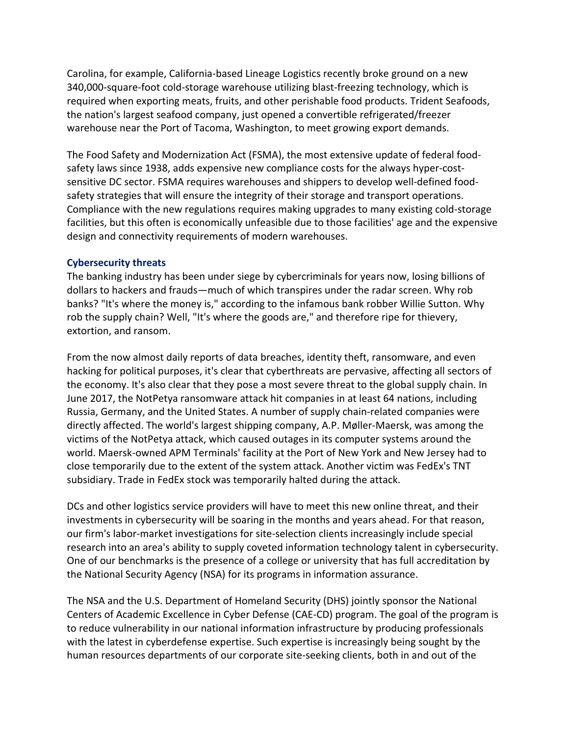Carolina, for example, California‐based Lineage Logistics recently broke ground on a new 340,000‐square‐foot cold‐storage warehouse utilizing blast‐freezing technology, which is required when exporting meats, fruits, and other perishable food products. Trident Seafoods, the nation's largest seafood company, just opened a convertible refrigerated/freezer warehouse near the Port of Tacoma, Washington, to meet growing export demands.

The Food Safety and Modernization Act (FSMA), the most extensive update of federal food‐ safety laws since 1938, adds expensive new compliance costs for the always hyper‐cost‐ sensitive DC sector. FSMA requires warehouses and shippers to develop well-defined foodsafety strategies that will ensure the integrity of their storage and transport operations. Compliance with the new regulations requires making upgrades to many existing cold‐storage facilities, but this often is economically unfeasible due to those facilities' age and the expensive design and connectivity requirements of modern warehouses.

#### **Cybersecurity threats**

The banking industry has been under siege by cybercriminals for years now, losing billions of dollars to hackers and frauds—much of which transpires under the radar screen. Why rob banks? "It's where the money is," according to the infamous bank robber Willie Sutton. Why rob the supply chain? Well, "It's where the goods are," and therefore ripe for thievery, extortion, and ransom.

From the now almost daily reports of data breaches, identity theft, ransomware, and even hacking for political purposes, it's clear that cyberthreats are pervasive, affecting all sectors of the economy. It's also clear that they pose a most severe threat to the global supply chain. In June 2017, the NotPetya ransomware attack hit companies in at least 64 nations, including Russia, Germany, and the United States. A number of supply chain‐related companies were directly affected. The world's largest shipping company, A.P. Møller-Maersk, was among the victims of the NotPetya attack, which caused outages in its computer systems around the world. Maersk‐owned APM Terminals' facility at the Port of New York and New Jersey had to close temporarily due to the extent of the system attack. Another victim was FedEx's TNT subsidiary. Trade in FedEx stock was temporarily halted during the attack.

DCs and other logistics service providers will have to meet this new online threat, and their investments in cybersecurity will be soaring in the months and years ahead. For that reason, our firm's labor‐market investigations for site‐selection clients increasingly include special research into an area's ability to supply coveted information technology talent in cybersecurity. One of our benchmarks is the presence of a college or university that has full accreditation by the National Security Agency (NSA) for its programs in information assurance.

The NSA and the U.S. Department of Homeland Security (DHS) jointly sponsor the National Centers of Academic Excellence in Cyber Defense (CAE‐CD) program. The goal of the program is to reduce vulnerability in our national information infrastructure by producing professionals with the latest in cyberdefense expertise. Such expertise is increasingly being sought by the human resources departments of our corporate site‐seeking clients, both in and out of the